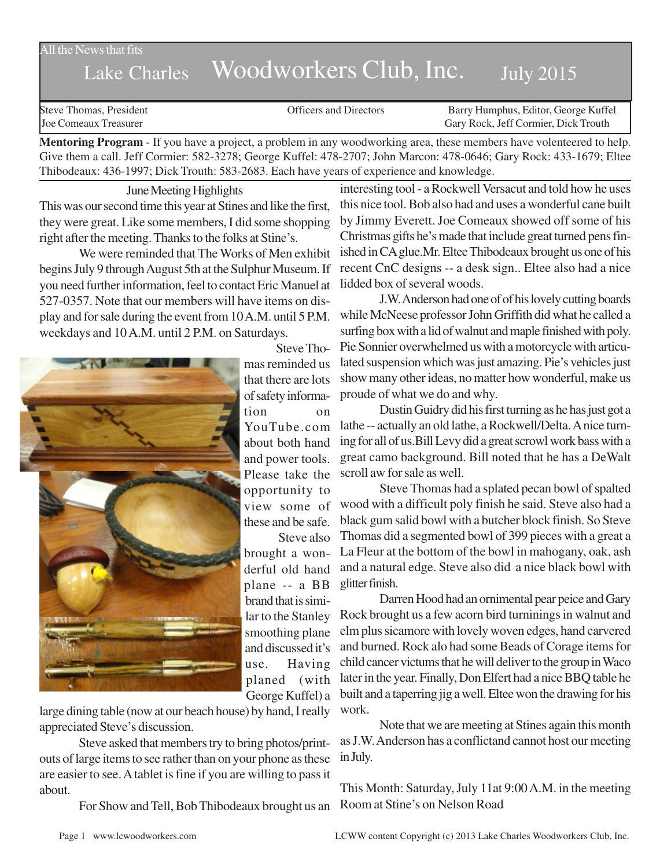#### All the News that fits

# Lake Charles Woodworkers Club, Inc. July 2015

Steve Thomas, President **State Concrete Concrete Concrete Concrete Concrete Concrete Concrete Concrete Concrete Concrete Concrete Concrete Concrete Concrete Concrete Concrete Concrete Concrete Concrete Concrete Concrete Co** Joe Comeaux Treasurer Gary Rock, Jeff Cormier, Dick Trouth

**Mentoring Program** - If you have a project, a problem in any woodworking area, these members have volenteered to help. Give them a call. Jeff Cormier: 582-3278; George Kuffel: 478-2707; John Marcon: 478-0646; Gary Rock: 433-1679; Eltee Thibodeaux: 436-1997; Dick Trouth: 583-2683. Each have years of experience and knowledge.

June Meeting Highlights This was our second time this year at Stines and like the first, they were great. Like some members, I did some shopping right after the meeting. Thanks to the folks at Stine's.

We were reminded that The Works of Men exhibit begins July 9 through August 5th at the Sulphur Museum. If you need further information, feel to contact Eric Manuel at 527-0357. Note that our members will have items on display and for sale during the event from 10 A.M. until 5 P.M. weekdays and 10 A.M. until 2 P.M. on Saturdays.



mas reminded us that there are lots of safety information on YouTube.com about both hand and power tools. Please take the opportunity to view some of these and be safe. Steve also brought a wonderful old hand plane -- a BB brand that is similar to the Stanley smoothing plane and discussed it's use. Having

Steve Tho-

large dining table (now at our beach house) by hand, I really appreciated Steve's discussion.

Steve asked that members try to bring photos/printouts of large items to see rather than on your phone as these are easier to see. A tablet is fine if you are willing to pass it about.

For Show and Tell, Bob Thibodeaux brought us an Room at Stine's on Nelson Road

interesting tool - a Rockwell Versacut and told how he uses this nice tool. Bob also had and uses a wonderful cane built by Jimmy Everett. Joe Comeaux showed off some of his Christmas gifts he's made that include great turned pens finished in CA glue.Mr. Eltee Thibodeaux brought us one of his recent CnC designs -- a desk sign.. Eltee also had a nice lidded box of several woods.

J.W. Anderson had one of of his lovely cutting boards while McNeese professor John Griffith did what he called a surfing box with a lid of walnut and maple finished with poly. Pie Sonnier overwhelmed us with a motorcycle with articulated suspension which was just amazing. Pie's vehicles just show many other ideas, no matter how wonderful, make us proude of what we do and why.

Dustin Guidry did his first turning as he has just got a lathe -- actually an old lathe, a Rockwell/Delta. A nice turning for all of us.Bill Levy did a great scrowl work bass with a great camo background. Bill noted that he has a DeWalt scroll aw for sale as well.

Steve Thomas had a splated pecan bowl of spalted wood with a difficult poly finish he said. Steve also had a black gum salid bowl with a butcher block finish. So Steve Thomas did a segmented bowl of 399 pieces with a great a La Fleur at the bottom of the bowl in mahogany, oak, ash and a natural edge. Steve also did a nice black bowl with glitter finish.

Darren Hood had an ornimental pear peice and Gary Rock brought us a few acorn bird turninings in walnut and elm plus sicamore with lovely woven edges, hand carvered and burned. Rock alo had some Beads of Corage items for child cancer victums that he will deliver to the group in Waco later in the year. Finally, Don Elfert had a nice BBQ table he built and a taperring jig a well. Eltee won the drawing for his work.

Note that we are meeting at Stines again this month as J.W. Anderson has a conflictand cannot host our meeting in July.

This Month: Saturday, July 11at 9:00 A.M. in the meeting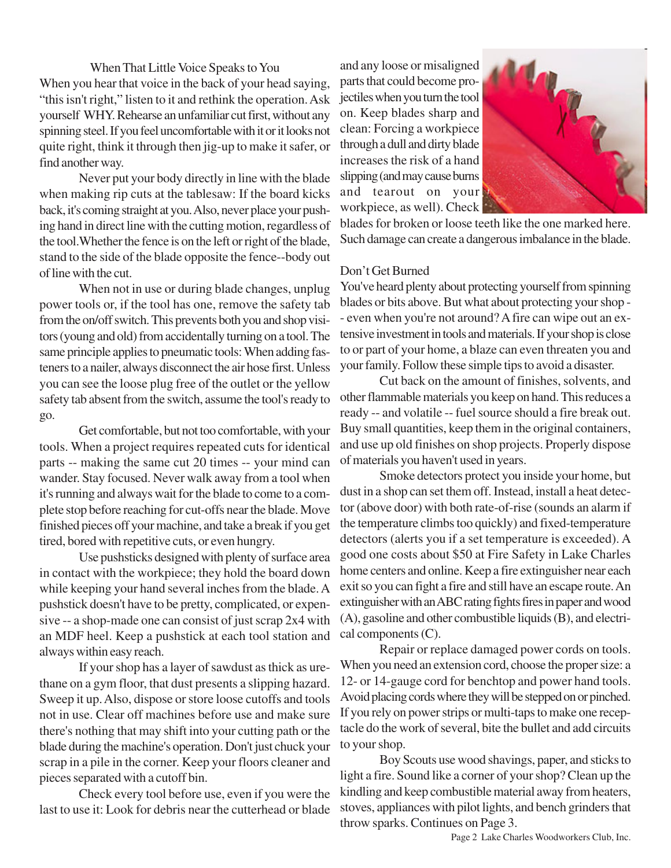When That Little Voice Speaks to You When you hear that voice in the back of your head saying, "this isn't right," listen to it and rethink the operation. Ask yourself WHY. Rehearse an unfamiliar cut first, without any spinning steel. If you feel uncomfortable with it or it looks not quite right, think it through then jig-up to make it safer, or find another way.

Never put your body directly in line with the blade when making rip cuts at the tablesaw: If the board kicks back, it's coming straight at you. Also, never place your pushing hand in direct line with the cutting motion, regardless of the tool.Whether the fence is on the left or right of the blade, stand to the side of the blade opposite the fence--body out of line with the cut.

When not in use or during blade changes, unplug power tools or, if the tool has one, remove the safety tab from the on/off switch. This prevents both you and shop visitors (young and old) from accidentally turning on a tool. The same principle applies to pneumatic tools: When adding fasteners to a nailer, always disconnect the air hose first. Unless you can see the loose plug free of the outlet or the yellow safety tab absent from the switch, assume the tool's ready to go.

Get comfortable, but not too comfortable, with your tools. When a project requires repeated cuts for identical parts -- making the same cut 20 times -- your mind can wander. Stay focused. Never walk away from a tool when it's running and always wait for the blade to come to a complete stop before reaching for cut-offs near the blade. Move finished pieces off your machine, and take a break if you get tired, bored with repetitive cuts, or even hungry.

Use pushsticks designed with plenty of surface area in contact with the workpiece; they hold the board down while keeping your hand several inches from the blade. A pushstick doesn't have to be pretty, complicated, or expensive -- a shop-made one can consist of just scrap 2x4 with an MDF heel. Keep a pushstick at each tool station and always within easy reach.

If your shop has a layer of sawdust as thick as urethane on a gym floor, that dust presents a slipping hazard. Sweep it up. Also, dispose or store loose cutoffs and tools not in use. Clear off machines before use and make sure there's nothing that may shift into your cutting path or the blade during the machine's operation. Don't just chuck your scrap in a pile in the corner. Keep your floors cleaner and pieces separated with a cutoff bin.

Check every tool before use, even if you were the last to use it: Look for debris near the cutterhead or blade and any loose or misaligned parts that could become projectiles when you turn the tool on. Keep blades sharp and clean: Forcing a workpiece through a dull and dirty blade increases the risk of a hand slipping (and may cause burns and tearout on your workpiece, as well). Check



blades for broken or loose teeth like the one marked here. Such damage can create a dangerous imbalance in the blade.

# Don't Get Burned

You've heard plenty about protecting yourself from spinning blades or bits above. But what about protecting your shop - - even when you're not around? A fire can wipe out an extensive investment in tools and materials. If your shop is close to or part of your home, a blaze can even threaten you and your family. Follow these simple tips to avoid a disaster.

Cut back on the amount of finishes, solvents, and other flammable materials you keep on hand. This reduces a ready -- and volatile -- fuel source should a fire break out. Buy small quantities, keep them in the original containers, and use up old finishes on shop projects. Properly dispose of materials you haven't used in years.

Smoke detectors protect you inside your home, but dust in a shop can set them off. Instead, install a heat detector (above door) with both rate-of-rise (sounds an alarm if the temperature climbs too quickly) and fixed-temperature detectors (alerts you if a set temperature is exceeded). A good one costs about \$50 at Fire Safety in Lake Charles home centers and online. Keep a fire extinguisher near each exit so you can fight a fire and still have an escape route. An extinguisher with an ABC rating fights fires in paper and wood (A), gasoline and other combustible liquids (B), and electrical components (C).

Repair or replace damaged power cords on tools. When you need an extension cord, choose the proper size: a 12- or 14-gauge cord for benchtop and power hand tools. Avoid placing cords where they will be stepped on or pinched. If you rely on power strips or multi-taps to make one receptacle do the work of several, bite the bullet and add circuits to your shop.

Boy Scouts use wood shavings, paper, and sticks to light a fire. Sound like a corner of your shop? Clean up the kindling and keep combustible material away from heaters, stoves, appliances with pilot lights, and bench grinders that throw sparks. Continues on Page 3.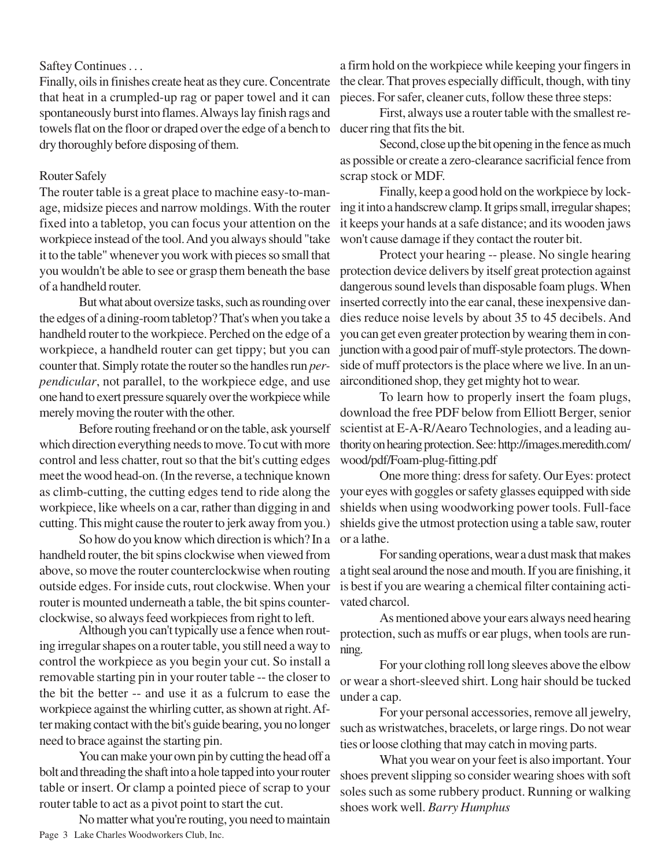# Saftey Continues . . .

Finally, oils in finishes create heat as they cure. Concentrate that heat in a crumpled-up rag or paper towel and it can spontaneously burst into flames. Always lay finish rags and towels flat on the floor or draped over the edge of a bench to dry thoroughly before disposing of them.

#### Router Safely

The router table is a great place to machine easy-to-manage, midsize pieces and narrow moldings. With the router fixed into a tabletop, you can focus your attention on the workpiece instead of the tool. And you always should "take it to the table" whenever you work with pieces so small that you wouldn't be able to see or grasp them beneath the base of a handheld router.

But what about oversize tasks, such as rounding over the edges of a dining-room tabletop? That's when you take a handheld router to the workpiece. Perched on the edge of a workpiece, a handheld router can get tippy; but you can counter that. Simply rotate the router so the handles run *perpendicular*, not parallel, to the workpiece edge, and use one hand to exert pressure squarely over the workpiece while merely moving the router with the other.

Before routing freehand or on the table, ask yourself which direction everything needs to move. To cut with more control and less chatter, rout so that the bit's cutting edges meet the wood head-on. (In the reverse, a technique known as climb-cutting, the cutting edges tend to ride along the workpiece, like wheels on a car, rather than digging in and cutting. This might cause the router to jerk away from you.)

So how do you know which direction is which? In a handheld router, the bit spins clockwise when viewed from above, so move the router counterclockwise when routing outside edges. For inside cuts, rout clockwise. When your router is mounted underneath a table, the bit spins counterclockwise, so always feed workpieces from right to left.

Although you can't typically use a fence when routing irregular shapes on a router table, you still need a way to control the workpiece as you begin your cut. So install a removable starting pin in your router table -- the closer to the bit the better -- and use it as a fulcrum to ease the workpiece against the whirling cutter, as shown at right. After making contact with the bit's guide bearing, you no longer need to brace against the starting pin.

You can make your own pin by cutting the head off a bolt and threading the shaft into a hole tapped into your router table or insert. Or clamp a pointed piece of scrap to your router table to act as a pivot point to start the cut.

Page 3 Lake Charles Woodworkers Club, Inc. No matter what you're routing, you need to maintain a firm hold on the workpiece while keeping your fingers in the clear. That proves especially difficult, though, with tiny pieces. For safer, cleaner cuts, follow these three steps:

First, always use a router table with the smallest reducer ring that fits the bit.

Second, close up the bit opening in the fence as much as possible or create a zero-clearance sacrificial fence from scrap stock or MDF.

Finally, keep a good hold on the workpiece by locking it into a handscrew clamp. It grips small, irregular shapes; it keeps your hands at a safe distance; and its wooden jaws won't cause damage if they contact the router bit.

Protect your hearing -- please. No single hearing protection device delivers by itself great protection against dangerous sound levels than disposable foam plugs. When inserted correctly into the ear canal, these inexpensive dandies reduce noise levels by about 35 to 45 decibels. And you can get even greater protection by wearing them in conjunction with a good pair of muff-style protectors. The downside of muff protectors is the place where we live. In an unairconditioned shop, they get mighty hot to wear.

To learn how to properly insert the foam plugs, download the free PDF below from Elliott Berger, senior scientist at E-A-R/Aearo Technologies, and a leading authority on hearing protection. See: http://images.meredith.com/ wood/pdf/Foam-plug-fitting.pdf

One more thing: dress for safety. Our Eyes: protect your eyes with goggles or safety glasses equipped with side shields when using woodworking power tools. Full-face shields give the utmost protection using a table saw, router or a lathe.

For sanding operations, wear a dust mask that makes a tight seal around the nose and mouth. If you are finishing, it is best if you are wearing a chemical filter containing activated charcol.

As mentioned above your ears always need hearing protection, such as muffs or ear plugs, when tools are running.

For your clothing roll long sleeves above the elbow or wear a short-sleeved shirt. Long hair should be tucked under a cap.

For your personal accessories, remove all jewelry, such as wristwatches, bracelets, or large rings. Do not wear ties or loose clothing that may catch in moving parts.

What you wear on your feet is also important. Your shoes prevent slipping so consider wearing shoes with soft soles such as some rubbery product. Running or walking shoes work well. *Barry Humphus*